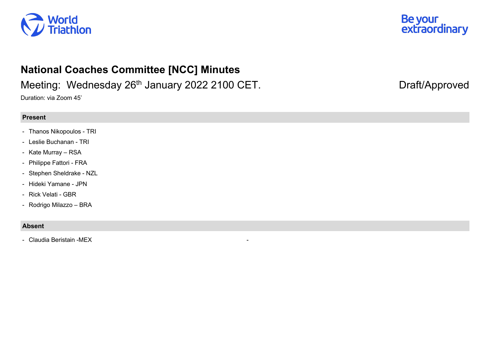



## **National Coaches Committee [NCC] Minutes**

## Meeting: Wednesday 26<sup>th</sup> January 2022 2100 CET. Draft/Approved

Duration: via Zoom 45'

## **Present**

- Thanos Nikopoulos TRI
- Leslie Buchanan TRI
- Kate Murray RSA
- Philippe Fattori FRA
- Stephen Sheldrake NZL
- Hideki Yamane JPN
- Rick Velati GBR
- Rodrigo Milazzo BRA

## **Absent**

- Claudia Beristain -MEX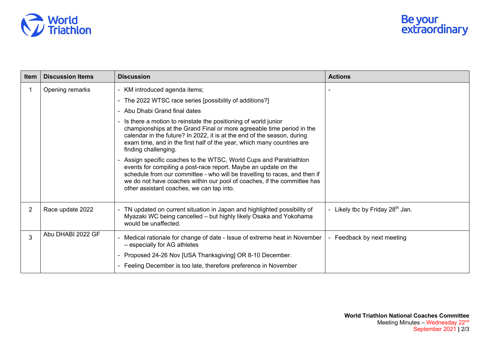

| Item           | <b>Discussion Items</b> | <b>Discussion</b>                                                                                                                                                                                                                                                                                                                          | <b>Actions</b>                               |
|----------------|-------------------------|--------------------------------------------------------------------------------------------------------------------------------------------------------------------------------------------------------------------------------------------------------------------------------------------------------------------------------------------|----------------------------------------------|
|                | Opening remarks         | - KM introduced agenda items;                                                                                                                                                                                                                                                                                                              |                                              |
|                |                         | The 2022 WTSC race series [possibility of additions?]                                                                                                                                                                                                                                                                                      |                                              |
|                |                         | - Abu Dhabi Grand final dates                                                                                                                                                                                                                                                                                                              |                                              |
|                |                         | Is there a motion to reinstate the positioning of world junior<br>championships at the Grand Final or more agreeable time period in the<br>calendar in the future? In 2022, it is at the end of the season, during<br>exam time, and in the first half of the year, which many countries are<br>finding challenging.                       |                                              |
|                |                         | Assign specific coaches to the WTSC, World Cups and Paratriathlon<br>events for compiling a post-race report. Maybe an update on the<br>schedule from our committee - who will be travelling to races, and then if<br>we do not have coaches within our pool of coaches, if the committee has<br>other assistant coaches, we can tap into. |                                              |
| $\overline{2}$ | Race update 2022        | TN updated on current situation in Japan and highlighted possibility of<br>Myazaki WC being cancelled - but highly likely Osaka and Yokohama<br>would be unaffected.                                                                                                                                                                       | - Likely tbc by Friday 28 <sup>th</sup> Jan. |
| 3              | Abu DHABI 2022 GF       | Medical rationale for change of date - Issue of extreme heat in November<br>- especially for AG athletes                                                                                                                                                                                                                                   | Feedback by next meeting                     |
|                |                         | Proposed 24-26 Nov [USA Thanksgiving] OR 8-10 December.                                                                                                                                                                                                                                                                                    |                                              |
|                |                         | - Feeling December is too late, therefore preference in November                                                                                                                                                                                                                                                                           |                                              |